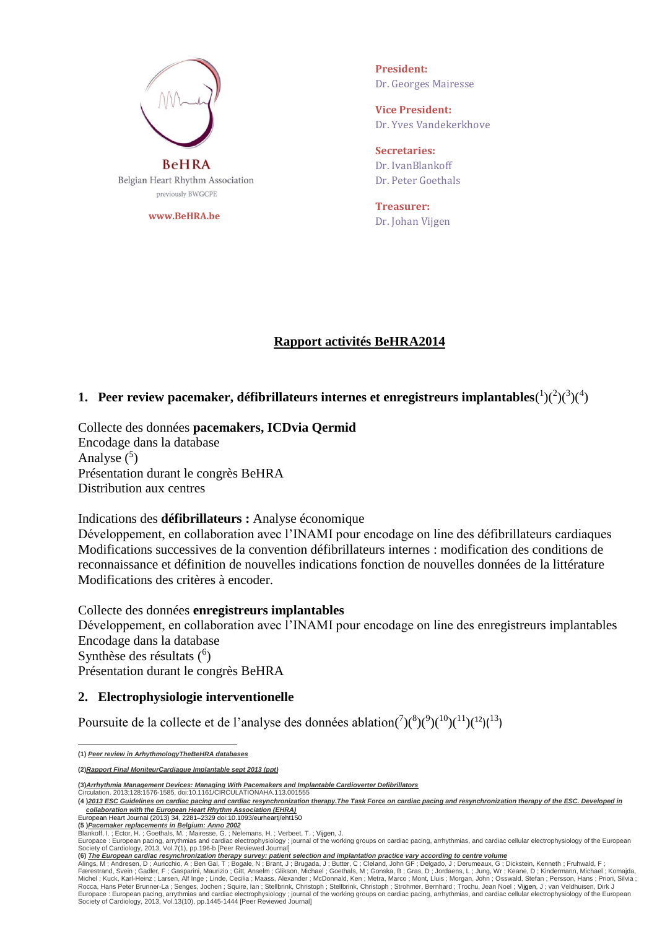

**www.BeHRA.be**

**President:** Dr. Georges Mairesse

**Vice President:** Dr. Yves Vandekerkhove

**Secretaries:** Dr. IvanBlankoff Dr. Peter Goethals

**Treasurer:**  Dr. Johan Vijgen

# **Rapport activités BeHRA2014**

# **1.** Peer review pacemaker, défibrillateurs internes et enregistreurs implantables( $\frac{1}{2}$ )( $\frac{3}{4}$ )

Collecte des données **pacemakers, ICDvia Qermid** Encodage dans la database Analyse  $(5)$ Présentation durant le congrès BeHRA Distribution aux centres

## Indications des **défibrillateurs :** Analyse économique

Développement, en collaboration avec l'INAMI pour encodage on line des défibrillateurs cardiaques Modifications successives de la convention défibrillateurs internes : modification des conditions de reconnaissance et définition de nouvelles indications fonction de nouvelles données de la littérature Modifications des critères à encoder.

Collecte des données **enregistreurs implantables** Développement, en collaboration avec l'INAMI pour encodage on line des enregistreurs implantables Encodage dans la database Synthèse des résultats (<sup>6</sup>) Présentation durant le congrès BeHRA

## **2. Electrophysiologie interventionelle**

Poursuite de la collecte et de l'analyse des données ablation( $(7)(8)(9)(10)(11)(12)(13)$  $(7)(8)(9)(10)(11)(12)(13)$  $(7)(8)(9)(10)(11)(12)(13)$ 

**Communist Circulation. 2013;128:1576-1585, doi:10.1161/CIRCULATIONAHA.113.001555** 

- European Heart Journal (2013) 34, 2281–2329 doi:10.1093/eurheartj/eht150
- **(5 )***Pacemaker [replacements](https://stuiterproxy.kuleuven.be/,DanaInfo=librilinks.libis.be+kuleuven?ctx_ver=Z39.88-2004&ctx_enc=info:ofi/enc:UTF-8&ctx_tim=2014-03-15T18%3A20%3A00IST&url_ver=Z39.88-2004&url_ctx_fmt=infofi/fmt:kev:mtx:ctx&rfr_id=info:sid/primo.exlibrisgroup.com:primo3-Article-swets&rft_val_fmt=info:ofi/fmt:kev:mtx:article&rft.genre=article&rft.atitle=841%20Pacemaker%20replacements%20in%20Belgium:%20Anno%202002&rft.jtitle=Europace%20:%20European%20pacing%2C%20arrythmias%20and%20cardiac%20electrophysiology%20%3B%20journal%20of%20the%20working%20groups%20on%20cardiac%20pacing%2C%20arrhythmias%2C%20and%20cardiac%20cellular%20electrophysiology%20of%20the%20European%20Society%20of%20Cardiology&rft.btitle=&rft.aulast=Blankoff&rft.auinit=&rft.auinit1=&rft.auinitm=&rft.ausuffix=&rft.au=Blankoff%2C%20I.&rft.aucorp=&rft.date=2013&rft.volume=7&rft.issue=1&rft.part=&rft.quarter=&rft.ssn=&rft.spage=196&rft.epage=b&rft.pages=196-b&rft.artnum=&rft.issn=1099-5129&rft.eissn=&rft.isbn=&rft.sici=&rft.coden=&rft_id=info:doi/&rft.object_id=&svc_val_fmt=info:ofi/fmt:kev:mtx:sch_svc&svc.fulltext=yes&rft_dat=%3Cswets%3E1919727817%3C/swets%3E&rft.eisbn=&rft_id=info:oai/) in Belgium: Anno 2002* Blankoff, I. ; Ector, H. ; Goethals, M. ; Mairesse, G. ; Nelemans, H. ; Verbeet, T. ; Vijgen, J.

 **(1)** *Peer review in ArhythmologyTheBeHRA databases*

**<sup>(2)</sup>***Rapport Final MoniteurCardiaque Implantable sept 2013 (ppt)*

**<sup>(3)</sup>***Arrhythmia Management Devices: Managing With Pacemakers and Implantable Cardioverter Defibrillators*

**<sup>(4</sup> )***2013 ESC Guidelines on cardiac pacing and cardiac resynchronization therapy.The Task Force on cardiac pacing and resynchronization therapy of the ESC. Developed in collaboration with the European Heart Rhythm Association (EHRA)*

Europace : European pacing, arrythmias and cardiac electrophysiology ; journal of the working groups on cardiac pacing, arrhythmias, and cardiac cellular electrophysiology of the European Society of Cardiology, 2013, Vol.7(1), pp.196-b [Peer Reviewed Journal]

<sup>(6)</sup> The European cardiac [resynchronization](https://stuiterproxy.kuleuven.be/,DanaInfo=librilinks.libis.be+kuleuven?frbrVersion=5&ctx_ver=Z39.88-2004&ctx_enc=info:ofi/enc:UTF-8&ctx_tim=2014-03-15T18%3A36%3A30IST&url_ver=Z39.88-2004&url_ctx_fmt=infofi/fmt:kev:mtx:ctx&rfr_id=info:sid/primo.exlibrisgroup.com:primo3-Article-swets&rft_val_fmt=info:ofi/fmt:kev:mtx:article&rft.genre=article&rft.atitle=The%20European%20cardiac%20resynchronization%20therapy%20survey:%20patient%20selection%20and%20implantation%20practice%20vary%20according%20to%20centre%20volume&rft.jtitle=Europace%20:%20European%20pacing%2C%20arrythmias%20and%20cardiac%20electrophysiology%20%3B%20journal%20of%20the%20working%20groups%20on%20cardiac%20pacing%2C%20arrhythmias%2C%20and%20cardiac%20cellular%20electrophysiology%20of%20the%20European%20Society%20of%20Cardiology&rft.btitle=&rft.aulast=Alings&rft.auinit=&rft.auinit1=&rft.auinitm=&rft.ausuffix=&rft.au=Alings%2C%20Marco&rft.aucorp=&rft.date=2013&rft.volume=13&rft.issue=10&rft.part=&rft.quarter=&rft.ssn=&rft.spage=1445&rft.epage=1444&rft.pages=1445-1444&rft.artnum=&rft.issn=1099-5129&rft.eissn=&rft.isbn=&rft.sici=&rft.coden=&rft_id=info:doi/&rft.object_id=&svc_val_fmt=info:ofi/fmt:kev:mtx:sch_svc&svc.fulltext=yes&rft_dat=%3Cswets%3E191972396X%3C/swets%3E&rft.eisbn=&rft_id=info:oai/) therapy survey: patient selection and implantation practice varv according to centre volume

Alings, M ; Andresen, D ; Auricchio, A ; Ben Gal, T ; Bogale, N ; Brant, J ; Brugada, J ; Butter, C ; Cleland, John GF ; Delgado, J ; Derumeaux, G ; Dickstein, Kenneth ; Fruhwald, F ;<br>Færestrand, Svein ; Gadler, F ; Gaspar Europace : European pacing, arrythmias and cardiac electrophysiology ; journal of the working groups on cardiac pacing, arrhythmias, and cardiac cellular electrophysiology of the Europear<br>Society of Cardiology, 2013, Vol.1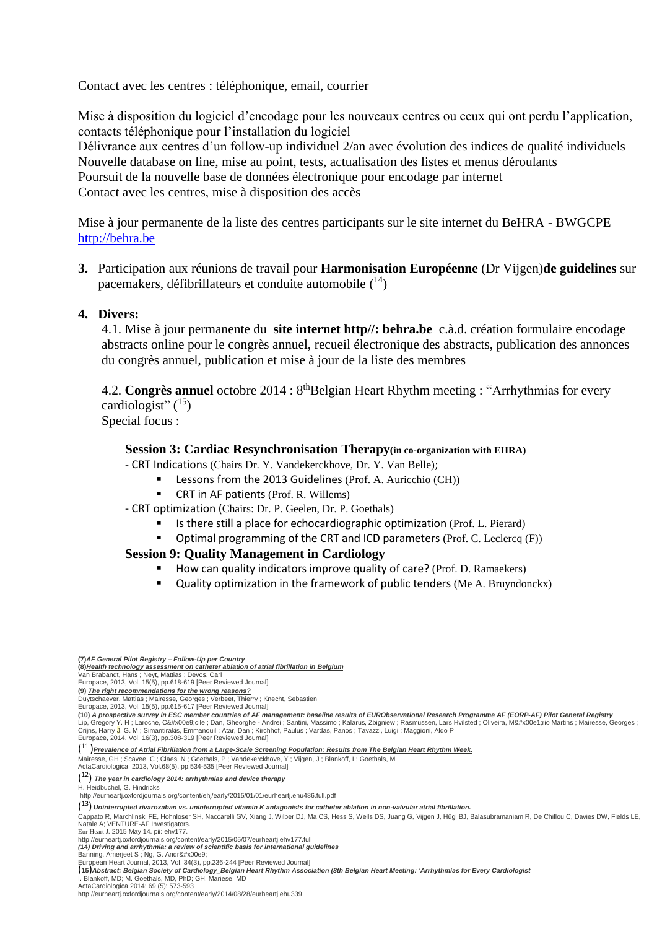Contact avec les centres : téléphonique, email, courrier

Mise à disposition du logiciel d'encodage pour les nouveaux centres ou ceux qui ont perdu l'application, contacts téléphonique pour l'installation du logiciel Délivrance aux centres d'un follow-up individuel 2/an avec évolution des indices de qualité individuels Nouvelle database on line, mise au point, tests, actualisation des listes et menus déroulants Poursuit de la nouvelle base de données électronique pour encodage par internet Contact avec les centres, mise à disposition des accès

Mise à jour permanente de la liste des centres participants sur le site internet du BeHRA - BWGCPE [http://behra.be](http://behra.be/)

**3.** Participation aux réunions de travail pour **Harmonisation Européenne** (Dr Vijgen)**de guidelines** sur pacemakers, défibrillateurs et conduite automobile (<sup>14</sup>)

# **4. Divers:**

4.1. Mise à jour permanente du **site internet http//: behra.be** c.à.d. création formulaire encodage abstracts online pour le congrès annuel, recueil électronique des abstracts, publication des annonces du congrès annuel, publication et mise à jour de la liste des membres

4.2. **Congrès annuel** octobre 2014 : 8<sup>th</sup>Belgian Heart Rhythm meeting : "Arrhythmias for every cardiologist"  $(^{15})$ 

Special focus :

### **Session 3: Cardiac Resynchronisation Therapy(in co-organization with EHRA)**

- CRT Indications (Chairs Dr. Y. Vandekerckhove, Dr. Y. Van Belle);

- Lessons from the 2013 Guidelines (Prof. A. Auricchio (CH))
- CRT in AF patients (Prof. R. Willems)

#### - CRT optimization (Chairs: Dr. P. Geelen, Dr. P. Goethals)

- Is there still a place for echocardiographic optimization (Prof. L. Pierard)
- Optimal programming of the CRT and ICD parameters (Prof. C. Leclercq (F))

## **Session 9: Quality Management in Cardiology**

- How can quality indicators improve quality of care? (Prof. D. Ramaekers)
- **Quality optimization in the framework of public tenders (Me A. Bruyndonckx)**

Mairesse, GH; Scavee, C; Claes, N; Goethals, P; Vandekerckhove, Y; Vijgen, J; Blankoff, I; Goethals, M

ActaCardiologica, 2013, Vol.68(5), pp.534-535 [Peer Reviewed Journal]

**.** 

(15) Abstract: Belgian Society of Cardiology Belgian Heart Rhythm Association (8th Belgian Heart Meeting: 'Arrhythmias for Every Cardiologist

http://eurheartj.oxfordjournals.org/content/early/2014/08/28/eurheartj.ehu339

**<sup>(7)</sup>***AF General Pilot Registry – Follow-Up per Country* **(8)***Health technology [assessment](https://stuiterproxy.kuleuven.be/,DanaInfo=librilinks.libis.be+kuleuven?frbrVersion=4&ctx_ver=Z39.88-2004&ctx_enc=info:ofi/enc:UTF-8&ctx_tim=2014-03-15T20%3A21%3A19IST&url_ver=Z39.88-2004&url_ctx_fmt=infofi/fmt:kev:mtx:ctx&rfr_id=info:sid/primo.exlibrisgroup.com:primo3-Article-oxford&rft_val_fmt=info:ofi/fmt:kev:mtx:document&rft.genre=&rft.atitle=Health%20technology%20assessment%20on%20catheter%20ablation%20of%20atrial%20fibrillation%20in%20Belgium&rft.jtitle=Europace&rft.btitle=&rft.aulast=Van%20Brabandt&rft.auinit=&rft.auinit1=&rft.auinitm=&rft.ausuffix=&rft.au=Van%20Brabandt%2C%20Hans&rft.aucorp=&rft.date=201305&rft.volume=15&rft.issue=5&rft.part=&rft.quarter=&rft.ssn=&rft.spage=618&rft.epage=619&rft.pages=618-619&rft.artnum=&rft.issn=1099-5129&rft.eissn=1532-2092&rft.isbn=&rft.sici=&rft.coden=&rft_id=info:doi/10.1093/europace/eut085&rft.object_id=&svc_val_fmt=info:ofi/fmt:kev:mtx:sch_svc&svc.fulltext=yes&rft_dat=%3Coxford%3E10.1093/europace/eut085%3C/oxford%3E&rft.eisbn=&rft_id=info:oai/) on catheter ablation of atrial fibrillation in Belgium*

Van Brabandt, Hans ; Neyt, Mattias ; Devos, Carl Europace, 2013, Vol. 15(5), pp.618-619 [Peer Reviewed Journal]

**<sup>(9)</sup>** *The right [recommendations](https://stuiterproxy.kuleuven.be/,DanaInfo=librilinks.libis.be+kuleuven?frbrVersion=4&ctx_ver=Z39.88-2004&ctx_enc=info:ofi/enc:UTF-8&ctx_tim=2014-03-15T19%3A19%3A10IST&url_ver=Z39.88-2004&url_ctx_fmt=infofi/fmt:kev:mtx:ctx&rfr_id=info:sid/primo.exlibrisgroup.com:primo3-Article-oxford&rft_val_fmt=info:ofi/fmt:kev:mtx:document&rft.genre=&rft.atitle=The%20right%20recommendations%20for%20the%20wrong%20reasons%3F&rft.jtitle=Europace&rft.btitle=&rft.aulast=Duytschaever&rft.auinit=&rft.auinit1=&rft.auinitm=&rft.ausuffix=&rft.au=Duytschaever%2C%20Mattias&rft.aucorp=&rft.date=20130105&rft.volume=15&rft.issue=5&rft.part=&rft.quarter=&rft.ssn=&rft.spage=615&rft.epage=617&rft.pages=615-617&rft.artnum=&rft.issn=1099-5129&rft.eissn=1532-2092&rft.isbn=&rft.sici=&rft.coden=&rft_id=info:doi/10.1093/europace/eus433&rft.object_id=&svc_val_fmt=info:ofi/fmt:kev:mtx:sch_svc&svc.fulltext=yes&rft_dat=%3Coxford%3E10.1093/europace/eus433%3C/oxford%3E&rft.eisbn=&rft_id=info:oai/) for the wrong reasons?*

Duytschaever, Mattias ; Mairesse, Georges ; Verbeet, Thierry ; Knecht, Sebastien Europace, 2013, Vol. 15(5), pp.615-617 [Peer Reviewed Journal]

<sup>(10)</sup> A prospective survey in ESC member countries of AF management: baseline results of [EURObservational](https://stuiterproxy.kuleuven.be/,DanaInfo=librilinks.libis.be+kuleuven?frbrVersion=2&ctx_ver=Z39.88-2004&ctx_enc=info:ofi/enc:UTF-8&ctx_tim=2014-03-15T19%3A20%3A06IST&url_ver=Z39.88-2004&url_ctx_fmt=infofi/fmt:kev:mtx:ctx&rfr_id=info:sid/primo.exlibrisgroup.com:primo3-Article-oxford&rft_val_fmt=info:ofi/fmt:kev:mtx:journal&rft.genre=article&rft.atitle=A%20prospective%20survey%20in%20European%20Society%20of%20Cardiology%20member%20countries%20of%20atrial%20fibrillation%20management:%20baseline%20results%20of%20EURObservational%20Research%20Programme%20Atrial%20Fibrillation%20(EORP-AF)%20Pilot%20General%20Registry&rft.jtitle=Europace&rft.btitle=&rft.aulast=Lip&rft.auinit=&rft.auinit1=&rft.auinitm=&rft.ausuffix=&rft.au=Lip%2C%20Gregory%20Y.H.&rft.aucorp=&rft.date=20141203&rft.volume=16&rft.issue=3&rft.part=&rft.quarter=&rft.ssn=&rft.spage=308&rft.epage=319&rft.pages=308-319&rft.artnum=&rft.issn=1099-5129&rft.eissn=1532-2092&rft.isbn=&rft.sici=&rft.coden=&rft_id=info:doi/10.1093/europace/eut373&rft.object_id=&svc_val_fmt=info:ofi/fmt:kev:mtx:sch_svc&svc.fulltext=yes&rft_dat=%3Coxford%3E10.1093/europace/eut373%3C/oxford%3E&rft.eisbn=&rft_id=info:oai/) Research Programme AF (EORP-AF) Pilot General Registry Lip, Gregory Y. H ; Laroche, Cécile ; Dan, Gheorghe - Andrei ; Santini, Massimo ; Kalarus, Zbigniew ; Rasmussen, Lars Hvilsted ; Oliveira, Mário Martins ; Mairesse, Georges ;<br>Crijns, Harry <mark>J</mark>. G. M ; Simanti

Europace, 2014, Vol. 16(3), pp.308-319 [Peer Reviewed Journal]

 $(^{11})$ Prevalence of Atrial Fibrillation from a [Large-Scale](https://stuiterproxy.kuleuven.be/,DanaInfo=librilinks.libis.be+kuleuven?ctx_ver=Z39.88-2004&ctx_enc=info:ofi/enc:UTF-8&ctx_tim=2014-03-15T17%3A56%3A51IST&url_ver=Z39.88-2004&url_ctx_fmt=infofi/fmt:kev:mtx:ctx&rfr_id=info:sid/primo.exlibrisgroup.com:primo3-Article-wos&rft_val_fmt=info:ofi/fmt:kev:mtx:&rft.genre=article&rft.atitle=Prevalence%20of%20Atrial%20Fibrillation%20from%20a%20Large-Scale%20Screening%20Population:%20Results%20from%20The%20Belgian%20Heart%20Rhythm%20Week.&rft.jtitle=ACTA%20CARDIOLOGICA&rft.btitle=&rft.aulast=Mairesse&rft.auinit=&rft.auinit1=&rft.auinitm=&rft.ausuffix=&rft.au=Mairesse%2C%20GH&rft.aucorp=&rft.date=201310&rft.volume=68&rft.issue=5&rft.part=&rft.quarter=&rft.ssn=&rft.spage=534&rft.epage=535&rft.pages=&rft.artnum=&rft.issn=0001-5385&rft.eissn=0373-7934&rft.isbn=&rft.sici=&rft.coden=&rft_id=info:doi/&rft.object_id=&svc_val_fmt=info:ofi/fmt:kev:mtx:sch_svc&svc.fulltext=yes&rft_dat=%3Cwos%3E000326431000019%3C/wos%3E&rft.eisbn=&rft_id=info:oai/) Screening Population: Results from The Belgian Heart Rhythm Week.

<sup>(</sup> <sup>12</sup>) *The year in cardiology 2014: arrhythmias and device therapy*

H. Heidbuchel, G. Hindricks <http://eurheartj.oxfordjournals.org/content/ehj/early/2015/01/01/eurheartj.ehu486.full.pdf>

<sup>(13)</sup> [Uninterrupted](http://www.ncbi.nlm.nih.gov/pubmed/25975659) rivaroxaban vs. uninterrupted vitamin K antagonists for catheter ablation in non-valvular atrial fibrillation.

Cappato R, Marchlinski FE, Hohnloser SH, Naccarelli GV, Xiang J, Wilber DJ, Ma CS, Hess S, Wells DS, Juang G, Vijgen J, Hügl BJ, Balasubramaniam R, De Chillou C, Davies DW, Fields LE, Natale A; VENTURE-AF Investigators.

Eur Heart J. 2015 May 14. pii: ehv177. http://eurheartj.oxfordjournals.org/content/early/2015/05/07/eurheartj.ehv177.full

*<sup>(</sup>***14***) Driving and arrhythmia: a review of scientific basis for [international](https://stuiterproxy.kuleuven.be/,DanaInfo=librilinks.libis.be+kuleuven?frbrVersion=5&ctx_ver=Z39.88-2004&ctx_enc=info:ofi/enc:UTF-8&ctx_tim=2014-03-15T18%3A33%3A52IST&url_ver=Z39.88-2004&url_ctx_fmt=infofi/fmt:kev:mtx:ctx&rfr_id=info:sid/primo.exlibrisgroup.com:primo3-Article-oxford&rft_val_fmt=info:ofi/fmt:kev:mtx:journal&rft.genre=&rft.atitle=Driving%20and%20arrhythmia:%20a%20review%20of%20scientific%20basis%20for%20international%20guidelines&rft.jtitle=European%20Heart%20Journal&rft.btitle=&rft.aulast=Banning&rft.auinit=&rft.auinit1=&rft.auinitm=&rft.ausuffix=&rft.au=Banning%2C%20Amerjeet%20S.&rft.aucorp=&rft.date=2013100114&rft.volume=34&rft.issue=3&rft.part=&rft.quarter=&rft.ssn=&rft.spage=236&rft.epage=244&rft.pages=236-244&rft.artnum=&rft.issn=0195-668X&rft.eissn=1522-9645&rft.isbn=&rft.sici=&rft.coden=&rft_id=info:doi/10.1093/eurheartj/ehs356&rft.object_id=&svc_val_fmt=info:ofi/fmt:kev:mtx:sch_svc&svc.fulltext=yes&rft_dat=%3Coxford%3E10.1093/eurheartj/ehs356%3C/oxford%3E&rft.eisbn=&rft_id=info:oai/) guidelines* Banning, Amerjeet S ; Ng, G. André

European Heart Journal, 2013, Vol. 34(3), pp.236-244 [Peer Reviewed Journal]

I. Blankoff, MD; M. Goethals, MD, PhD; GH. Mariese, MD ActaCardiologica 2014; 69 (5): 573-593